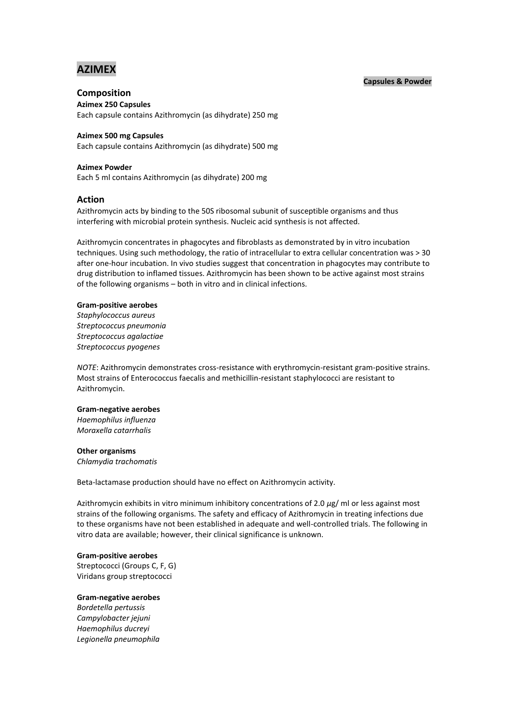# **AZIMEX**

## **Capsules & Powder**

## **Composition**

**Azimex 250 Capsules** Each capsule contains Azithromycin (as dihydrate) 250 mg

## **Azimex 500 mg Capsules**

Each capsule contains Azithromycin (as dihydrate) 500 mg

## **Azimex Powder**

Each 5 ml contains Azithromycin (as dihydrate) 200 mg

## **Action**

Azithromycin acts by binding to the 50S ribosomal subunit of susceptible organisms and thus interfering with microbial protein synthesis. Nucleic acid synthesis is not affected.

Azithromycin concentrates in phagocytes and fibroblasts as demonstrated by in vitro incubation techniques. Using such methodology, the ratio of intracellular to extra cellular concentration was > 30 after one-hour incubation. In vivo studies suggest that concentration in phagocytes may contribute to drug distribution to inflamed tissues. Azithromycin has been shown to be active against most strains of the following organisms – both in vitro and in clinical infections.

#### **Gram-positive aerobes**

*Staphylococcus aureus Streptococcus pneumonia Streptococcus agalactiae Streptococcus pyogenes*

*NOTE*: Azithromycin demonstrates cross-resistance with erythromycin-resistant gram-positive strains. Most strains of Enterococcus faecalis and methicillin-resistant staphylococci are resistant to Azithromycin.

#### **Gram-negative aerobes**

*Haemophilus influenza Moraxella catarrhalis*

#### **Other organisms**

*Chlamydia trachomatis*

Beta-lactamase production should have no effect on Azithromycin activity.

Azithromycin exhibits in vitro minimum inhibitory concentrations of 2.0 *µ*g/ ml or less against most strains of the following organisms. The safety and efficacy of Azithromycin in treating infections due to these organisms have not been established in adequate and well-controlled trials. The following in vitro data are available; however, their clinical significance is unknown.

#### **Gram-positive aerobes**

Streptococci (Groups C, F, G) Viridans group streptococci

#### **Gram-negative aerobes**

*Bordetella pertussis Campylobacter jejuni Haemophilus ducreyi Legionella pneumophila*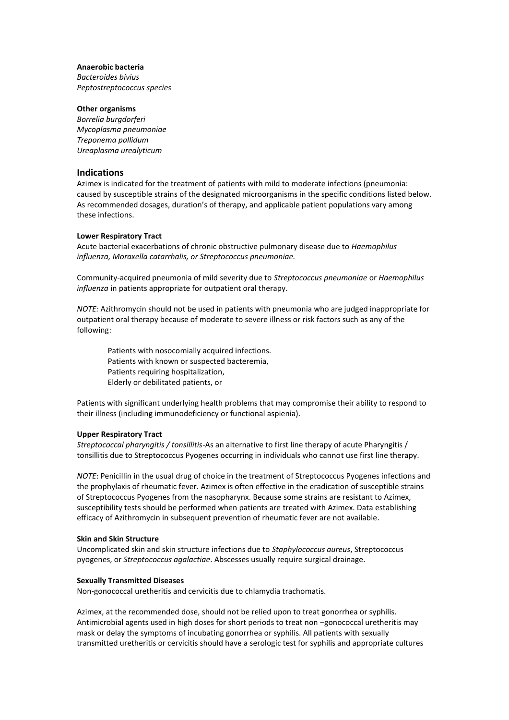## **Anaerobic bacteria**

*Bacteroides bivius Peptostreptococcus species*

## **Other organisms**

*Borrelia burgdorferi Mycoplasma pneumoniae Treponema pallidum Ureaplasma urealyticum*

## **Indications**

Azimex is indicated for the treatment of patients with mild to moderate infections (pneumonia: caused by susceptible strains of the designated microorganisms in the specific conditions listed below. As recommended dosages, duration's of therapy, and applicable patient populations vary among these infections.

## **Lower Respiratory Tract**

Acute bacterial exacerbations of chronic obstructive pulmonary disease due to *Haemophilus influenza, Moraxella catarrhalis, or Streptococcus pneumoniae.*

Community-acquired pneumonia of mild severity due to *Streptococcus pneumoniae* or *Haemophilus influenza* in patients appropriate for outpatient oral therapy.

*NOTE:* Azithromycin should not be used in patients with pneumonia who are judged inappropriate for outpatient oral therapy because of moderate to severe illness or risk factors such as any of the following:

Patients with nosocomially acquired infections. Patients with known or suspected bacteremia, Patients requiring hospitalization, Elderly or debilitated patients, or

Patients with significant underlying health problems that may compromise their ability to respond to their illness (including immunodeficiency or functional aspienia).

#### **Upper Respiratory Tract**

*Streptococcal pharyngitis / tonsillitis*-As an alternative to first line therapy of acute Pharyngitis / tonsillitis due to Streptococcus Pyogenes occurring in individuals who cannot use first line therapy.

*NOTE*: Penicillin in the usual drug of choice in the treatment of Streptococcus Pyogenes infections and the prophylaxis of rheumatic fever. Azimex is often effective in the eradication of susceptible strains of Streptococcus Pyogenes from the nasopharynx. Because some strains are resistant to Azimex, susceptibility tests should be performed when patients are treated with Azimex. Data establishing efficacy of Azithromycin in subsequent prevention of rheumatic fever are not available.

#### **Skin and Skin Structure**

Uncomplicated skin and skin structure infections due to *Staphylococcus aureus*, Streptococcus pyogenes, or *Streptococcus agalactiae*. Abscesses usually require surgical drainage.

#### **Sexually Transmitted Diseases**

Non-gonococcal uretheritis and cervicitis due to chlamydia trachomatis.

Azimex, at the recommended dose, should not be relied upon to treat gonorrhea or syphilis. Antimicrobial agents used in high doses for short periods to treat non –gonococcal uretheritis may mask or delay the symptoms of incubating gonorrhea or syphilis. All patients with sexually transmitted uretheritis or cervicitis should have a serologic test for syphilis and appropriate cultures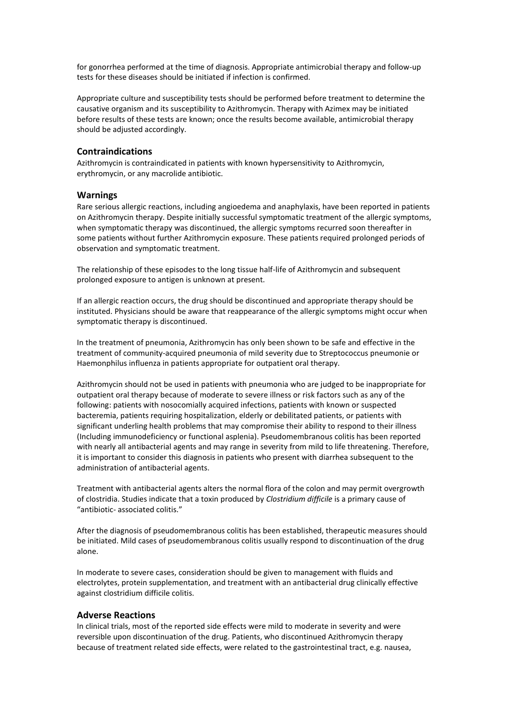for gonorrhea performed at the time of diagnosis. Appropriate antimicrobial therapy and follow-up tests for these diseases should be initiated if infection is confirmed.

Appropriate culture and susceptibility tests should be performed before treatment to determine the causative organism and its susceptibility to Azithromycin. Therapy with Azimex may be initiated before results of these tests are known; once the results become available, antimicrobial therapy should be adjusted accordingly.

## **Contraindications**

Azithromycin is contraindicated in patients with known hypersensitivity to Azithromycin, erythromycin, or any macrolide antibiotic.

#### **Warnings**

Rare serious allergic reactions, including angioedema and anaphylaxis, have been reported in patients on Azithromycin therapy. Despite initially successful symptomatic treatment of the allergic symptoms, when symptomatic therapy was discontinued, the allergic symptoms recurred soon thereafter in some patients without further Azithromycin exposure. These patients required prolonged periods of observation and symptomatic treatment.

The relationship of these episodes to the long tissue half-life of Azithromycin and subsequent prolonged exposure to antigen is unknown at present.

If an allergic reaction occurs, the drug should be discontinued and appropriate therapy should be instituted. Physicians should be aware that reappearance of the allergic symptoms might occur when symptomatic therapy is discontinued.

In the treatment of pneumonia, Azithromycin has only been shown to be safe and effective in the treatment of community-acquired pneumonia of mild severity due to Streptococcus pneumonie or Haemonphilus influenza in patients appropriate for outpatient oral therapy.

Azithromycin should not be used in patients with pneumonia who are judged to be inappropriate for outpatient oral therapy because of moderate to severe illness or risk factors such as any of the following: patients with nosocomially acquired infections, patients with known or suspected bacteremia, patients requiring hospitalization, elderly or debilitated patients, or patients with significant underling health problems that may compromise their ability to respond to their illness (Including immunodeficiency or functional asplenia). Pseudomembranous colitis has been reported with nearly all antibacterial agents and may range in severity from mild to life threatening. Therefore, it is important to consider this diagnosis in patients who present with diarrhea subsequent to the administration of antibacterial agents.

Treatment with antibacterial agents alters the normal flora of the colon and may permit overgrowth of clostridia. Studies indicate that a toxin produced by *Clostridium difficile* is a primary cause of "antibiotic- associated colitis."

After the diagnosis of pseudomembranous colitis has been established, therapeutic measures should be initiated. Mild cases of pseudomembranous colitis usually respond to discontinuation of the drug alone.

In moderate to severe cases, consideration should be given to management with fluids and electrolytes, protein supplementation, and treatment with an antibacterial drug clinically effective against clostridium difficile colitis.

## **Adverse Reactions**

In clinical trials, most of the reported side effects were mild to moderate in severity and were reversible upon discontinuation of the drug. Patients, who discontinued Azithromycin therapy because of treatment related side effects, were related to the gastrointestinal tract, e.g. nausea,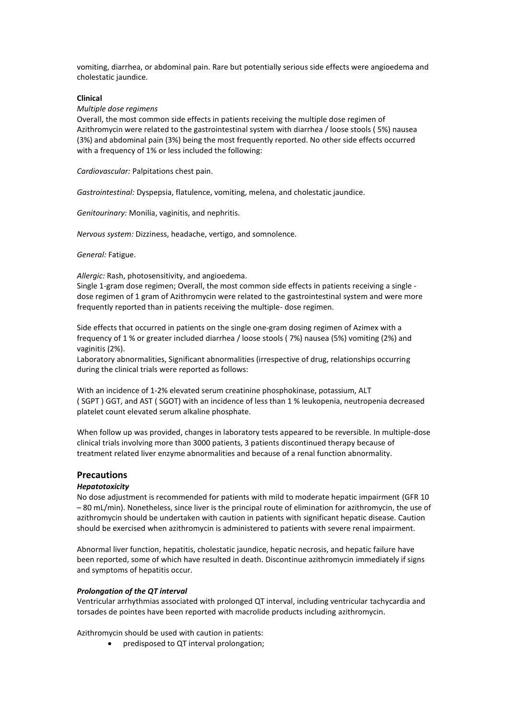vomiting, diarrhea, or abdominal pain. Rare but potentially serious side effects were angioedema and cholestatic jaundice.

## **Clinical**

## *Multiple dose regimens*

Overall, the most common side effects in patients receiving the multiple dose regimen of Azithromycin were related to the gastrointestinal system with diarrhea / loose stools ( 5%) nausea (3%) and abdominal pain (3%) being the most frequently reported. No other side effects occurred with a frequency of 1% or less included the following:

*Cardiovascular:* Palpitations chest pain.

*Gastrointestinal:* Dyspepsia, flatulence, vomiting, melena, and cholestatic jaundice.

*Genitourinary:* Monilia, vaginitis, and nephritis.

*Nervous system:* Dizziness, headache, vertigo, and somnolence.

*General:* Fatigue.

*Allergic:* Rash, photosensitivity, and angioedema.

Single 1-gram dose regimen; Overall, the most common side effects in patients receiving a single dose regimen of 1 gram of Azithromycin were related to the gastrointestinal system and were more frequently reported than in patients receiving the multiple- dose regimen.

Side effects that occurred in patients on the single one-gram dosing regimen of Azimex with a frequency of 1 % or greater included diarrhea / loose stools ( 7%) nausea (5%) vomiting (2%) and vaginitis (2%).

Laboratory abnormalities, Significant abnormalities (irrespective of drug, relationships occurring during the clinical trials were reported as follows:

With an incidence of 1-2% elevated serum creatinine phosphokinase, potassium, ALT ( SGPT ) GGT, and AST ( SGOT) with an incidence of less than 1 % leukopenia, neutropenia decreased platelet count elevated serum alkaline phosphate.

When follow up was provided, changes in laboratory tests appeared to be reversible. In multiple-dose clinical trials involving more than 3000 patients, 3 patients discontinued therapy because of treatment related liver enzyme abnormalities and because of a renal function abnormality.

## **Precautions**

## *Hepatotoxicity*

No dose adjustment is recommended for patients with mild to moderate hepatic impairment (GFR 10 – 80 mL/min). Nonetheless, since liver is the principal route of elimination for azithromycin, the use of azithromycin should be undertaken with caution in patients with significant hepatic disease. Caution should be exercised when azithromycin is administered to patients with severe renal impairment.

Abnormal liver function, hepatitis, cholestatic jaundice, hepatic necrosis, and hepatic failure have been reported, some of which have resulted in death. Discontinue azithromycin immediately if signs and symptoms of hepatitis occur.

## *Prolongation of the QT interval*

Ventricular arrhythmias associated with prolonged QT interval, including ventricular tachycardia and torsades de pointes have been reported with macrolide products including azithromycin.

Azithromycin should be used with caution in patients:

• predisposed to QT interval prolongation: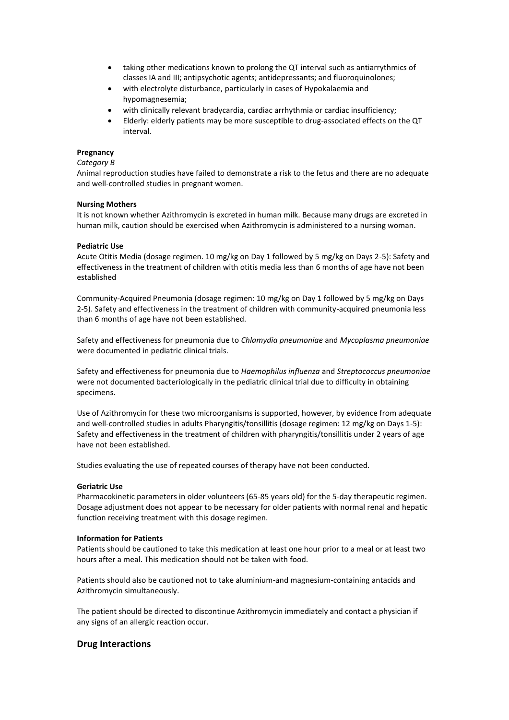- taking other medications known to prolong the QT interval such as antiarrythmics of classes IA and III; antipsychotic agents; antidepressants; and fluoroquinolones;
- with electrolyte disturbance, particularly in cases of Hypokalaemia and hypomagnesemia;
- with clinically relevant bradycardia, cardiac arrhythmia or cardiac insufficiency;
- Elderly: elderly patients may be more susceptible to drug-associated effects on the QT interval.

## **Pregnancy**

## *Category B*

Animal reproduction studies have failed to demonstrate a risk to the fetus and there are no adequate and well-controlled studies in pregnant women.

## **Nursing Mothers**

It is not known whether Azithromycin is excreted in human milk. Because many drugs are excreted in human milk, caution should be exercised when Azithromycin is administered to a nursing woman.

## **Pediatric Use**

Acute Otitis Media (dosage regimen. 10 mg/kg on Day 1 followed by 5 mg/kg on Days 2-5): Safety and effectiveness in the treatment of children with otitis media less than 6 months of age have not been established

Community-Acquired Pneumonia (dosage regimen: 10 mg/kg on Day 1 followed by 5 mg/kg on Days 2-5). Safety and effectiveness in the treatment of children with community-acquired pneumonia less than 6 months of age have not been established.

Safety and effectiveness for pneumonia due to *Chlamydia pneumoniae* and *Mycoplasma pneumoniae* were documented in pediatric clinical trials.

Safety and effectiveness for pneumonia due to *Haemophilus influenza* and *Streptococcus pneumoniae* were not documented bacteriologically in the pediatric clinical trial due to difficulty in obtaining specimens.

Use of Azithromycin for these two microorganisms is supported, however, by evidence from adequate and well-controlled studies in adults Pharyngitis/tonsillitis (dosage regimen: 12 mg/kg on Days 1-5): Safety and effectiveness in the treatment of children with pharyngitis/tonsillitis under 2 years of age have not been established.

Studies evaluating the use of repeated courses of therapy have not been conducted.

## **Geriatric Use**

Pharmacokinetic parameters in older volunteers (65-85 years old) for the 5-day therapeutic regimen. Dosage adjustment does not appear to be necessary for older patients with normal renal and hepatic function receiving treatment with this dosage regimen.

### **Information for Patients**

Patients should be cautioned to take this medication at least one hour prior to a meal or at least two hours after a meal. This medication should not be taken with food.

Patients should also be cautioned not to take aluminium-and magnesium-containing antacids and Azithromycin simultaneously.

The patient should be directed to discontinue Azithromycin immediately and contact a physician if any signs of an allergic reaction occur.

## **Drug Interactions**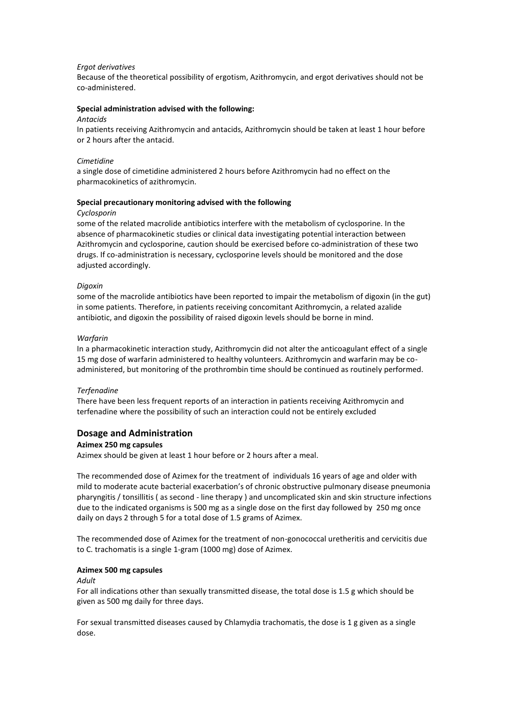#### *Ergot derivatives*

Because of the theoretical possibility of ergotism, Azithromycin, and ergot derivatives should not be co-administered.

## **Special administration advised with the following:**

#### *Antacids*

In patients receiving Azithromycin and antacids, Azithromycin should be taken at least 1 hour before or 2 hours after the antacid.

#### *Cimetidine*

a single dose of cimetidine administered 2 hours before Azithromycin had no effect on the pharmacokinetics of azithromycin.

### **Special precautionary monitoring advised with the following**

#### *Cyclosporin*

some of the related macrolide antibiotics interfere with the metabolism of cyclosporine. In the absence of pharmacokinetic studies or clinical data investigating potential interaction between Azithromycin and cyclosporine, caution should be exercised before co-administration of these two drugs. If co-administration is necessary, cyclosporine levels should be monitored and the dose adjusted accordingly.

#### *Digoxin*

some of the macrolide antibiotics have been reported to impair the metabolism of digoxin (in the gut) in some patients. Therefore, in patients receiving concomitant Azithromycin, a related azalide antibiotic, and digoxin the possibility of raised digoxin levels should be borne in mind.

#### *Warfarin*

In a pharmacokinetic interaction study, Azithromycin did not alter the anticoagulant effect of a single 15 mg dose of warfarin administered to healthy volunteers. Azithromycin and warfarin may be coadministered, but monitoring of the prothrombin time should be continued as routinely performed.

#### *Terfenadine*

There have been less frequent reports of an interaction in patients receiving Azithromycin and terfenadine where the possibility of such an interaction could not be entirely excluded

## **Dosage and Administration**

## **Azimex 250 mg capsules**

Azimex should be given at least 1 hour before or 2 hours after a meal.

The recommended dose of Azimex for the treatment of individuals 16 years of age and older with mild to moderate acute bacterial exacerbation's of chronic obstructive pulmonary disease pneumonia pharyngitis / tonsillitis ( as second - line therapy ) and uncomplicated skin and skin structure infections due to the indicated organisms is 500 mg as a single dose on the first day followed by 250 mg once daily on days 2 through 5 for a total dose of 1.5 grams of Azimex.

The recommended dose of Azimex for the treatment of non-gonococcal uretheritis and cervicitis due to C. trachomatis is a single 1-gram (1000 mg) dose of Azimex.

#### **Azimex 500 mg capsules**

#### *Adult*

For all indications other than sexually transmitted disease, the total dose is 1.5 g which should be given as 500 mg daily for three days.

For sexual transmitted diseases caused by Chlamydia trachomatis, the dose is 1 g given as a single dose.